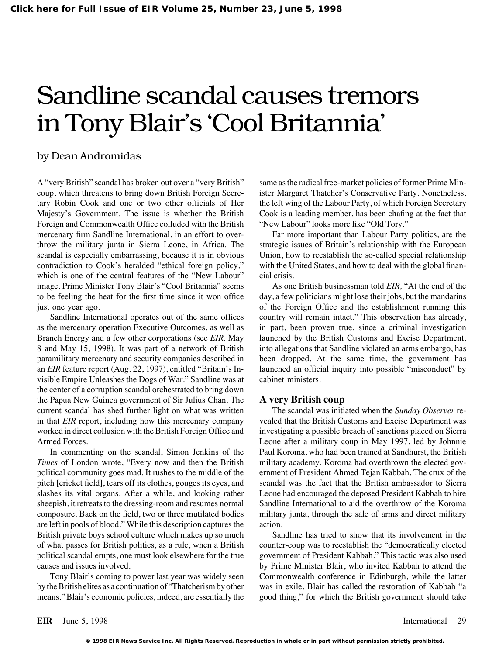# Sandline scandal causes tremors in Tony Blair's 'Cool Britannia'

#### by Dean Andromidas

A "very British" scandal has broken out over a "very British" coup, which threatens to bring down British Foreign Secretary Robin Cook and one or two other officials of Her Majesty's Government. The issue is whether the British Foreign and Commonwealth Office colluded with the British mercenary firm Sandline International, in an effort to overthrow the military junta in Sierra Leone, in Africa. The scandal is especially embarrassing, because it is in obvious contradiction to Cook's heralded "ethical foreign policy," which is one of the central features of the "New Labour" image. Prime Minister Tony Blair's "Cool Britannia" seems to be feeling the heat for the first time since it won office just one year ago.

Sandline International operates out of the same offices as the mercenary operation Executive Outcomes, as well as Branch Energy and a few other corporations (see *EIR,* May 8 and May 15, 1998). It was part of a network of British paramilitary mercenary and security companies described in an *EIR* feature report (Aug. 22, 1997), entitled "Britain's Invisible Empire Unleashes the Dogs of War." Sandline was at the center of a corruption scandal orchestrated to bring down the Papua New Guinea government of Sir Julius Chan. The current scandal has shed further light on what was written in that *EIR* report, including how this mercenary company worked in direct collusion with the British Foreign Office and Armed Forces.

In commenting on the scandal, Simon Jenkins of the *Times* of London wrote, "Every now and then the British political community goes mad. It rushes to the middle of the pitch [cricket field], tears off its clothes, gouges its eyes, and slashes its vital organs. After a while, and looking rather sheepish, it retreats to the dressing-room and resumes normal composure. Back on the field, two or three mutilated bodies are left in pools of blood." While this description captures the British private boys school culture which makes up so much of what passes for British politics, as a rule, when a British political scandal erupts, one must look elsewhere for the true causes and issues involved.

Tony Blair's coming to power last year was widely seen by the British elites as a continuation of "Thatcherism by other means." Blair's economic policies, indeed, are essentially the same as the radical free-market policies of former Prime Minister Margaret Thatcher's Conservative Party. Nonetheless, the left wing of the Labour Party, of which Foreign Secretary Cook is a leading member, has been chafing at the fact that "New Labour" looks more like "Old Tory."

Far more important than Labour Party politics, are the strategic issues of Britain's relationship with the European Union, how to reestablish the so-called special relationship with the United States, and how to deal with the global financial crisis.

As one British businessman told *EIR,* "At the end of the day, a few politicians might lose their jobs, but the mandarins of the Foreign Office and the establishment running this country will remain intact." This observation has already, in part, been proven true, since a criminal investigation launched by the British Customs and Excise Department, into allegations that Sandline violated an arms embargo, has been dropped. At the same time, the government has launched an official inquiry into possible "misconduct" by cabinet ministers.

#### **A very British coup**

The scandal was initiated when the *Sunday Observer* revealed that the British Customs and Excise Department was investigating a possible breach of sanctions placed on Sierra Leone after a military coup in May 1997, led by Johnnie Paul Koroma, who had been trained at Sandhurst, the British military academy. Koroma had overthrown the elected government of President Ahmed Tejan Kabbah. The crux of the scandal was the fact that the British ambassador to Sierra Leone had encouraged the deposed President Kabbah to hire Sandline International to aid the overthrow of the Koroma military junta, through the sale of arms and direct military action.

Sandline has tried to show that its involvement in the counter-coup was to reestablish the "democratically elected government of President Kabbah." This tactic was also used by Prime Minister Blair, who invited Kabbah to attend the Commonwealth conference in Edinburgh, while the latter was in exile. Blair has called the restoration of Kabbah "a good thing," for which the British government should take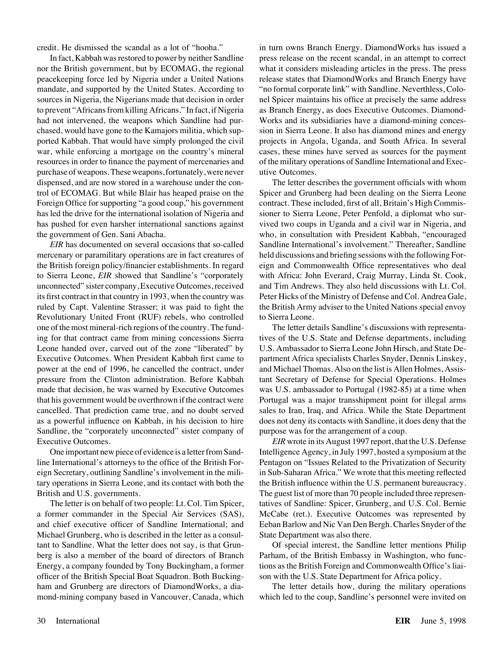credit. He dismissed the scandal as a lot of "hooha."

In fact, Kabbah was restored to power by neither Sandline nor the British government, but by ECOMAG, the regional peacekeeping force led by Nigeria under a United Nations mandate, and supported by the United States. According to sources in Nigeria, the Nigerians made that decision in order to prevent "Africans from killing Africans." In fact, if Nigeria had not intervened, the weapons which Sandline had purchased, would have gone to the Kamajors militia, which supported Kabbah. That would have simply prolonged the civil war, while enforcing a mortgage on the country's mineral resources in order to finance the payment of mercenaries and purchase of weapons. These weapons, fortunately, were never dispensed, and are now stored in a warehouse under the control of ECOMAG. But while Blair has heaped praise on the Foreign Office for supporting "a good coup," his government has led the drive for the international isolation of Nigeria and has pushed for even harsher international sanctions against the government of Gen. Sani Abacha.

*EIR* has documented on several occasions that so-called mercenary or paramilitary operations are in fact creatures of the British foreign policy/financier establishments. In regard to Sierra Leone, *EIR* showed that Sandline's "corporately unconnected" sister company, Executive Outcomes, received its first contract in that country in 1993, when the country was ruled by Capt. Valentine Strasser; it was paid to fight the Revolutionary United Front (RUF) rebels, who controlled one of the most mineral-rich regions of the country. The funding for that contract came from mining concessions Sierra Leone handed over, carved out of the zone "liberated" by Executive Outcomes. When President Kabbah first came to power at the end of 1996, he cancelled the contract, under pressure from the Clinton administration. Before Kabbah made that decision, he was warned by Executive Outcomes that his government would be overthrown if the contract were cancelled. That prediction came true, and no doubt served as a powerful influence on Kabbah, in his decision to hire Sandline, the "corporately unconnected" sister company of Executive Outcomes.

One important new piece of evidence is a letter from Sandline International's attorneys to the office of the British Foreign Secretary, outlining Sandline's involvement in the military operations in Sierra Leone, and its contact with both the British and U.S. governments.

The letter is on behalf of two people: Lt. Col. Tim Spicer, a former commander in the Special Air Services (SAS), and chief executive officer of Sandline International; and Michael Grunberg, who is described in the letter as a consultant to Sandline. What the letter does not say, is that Grunberg is also a member of the board of directors of Branch Energy, a company founded by Tony Buckingham, a former officer of the British Special Boat Squadron. Both Buckingham and Grunberg are directors of DiamondWorks, a diamond-mining company based in Vancouver, Canada, which in turn owns Branch Energy. DiamondWorks has issued a press release on the recent scandal, in an attempt to correct what it considers misleading articles in the press. The press release states that DiamondWorks and Branch Energy have "no formal corporate link" with Sandline. Neverthless, Colonel Spicer maintains his office at precisely the same address as Branch Energy, as does Executive Outcomes. Diamond-Works and its subsidiaries have a diamond-mining concession in Sierra Leone. It also has diamond mines and energy projects in Angola, Uganda, and South Africa. In several cases, these mines have served as sources for the payment of the military operations of Sandline International and Executive Outcomes.

The letter describes the government officials with whom Spicer and Grunberg had been dealing on the Sierra Leone contract. These included, first of all, Britain's High Commissioner to Sierra Leone, Peter Penfold, a diplomat who survived two coups in Uganda and a civil war in Nigeria, and who, in consultation with President Kabbah, "encouraged Sandline International's involvement." Thereafter, Sandline held discussions and briefing sessions with the following Foreign and Commonwealth Office representatives who deal with Africa: John Everard, Craig Murray, Linda St. Cook, and Tim Andrews. They also held discussions with Lt. Col. Peter Hicks of the Ministry of Defense and Col. Andrea Gale, the British Army adviser to the United Nations special envoy to Sierra Leone.

The letter details Sandline's discussions with representatives of the U.S. State and Defense departments, including U.S. Ambassador to Sierra Leone John Hirsch, and State Department Africa specialists Charles Snyder, Dennis Linskey, and Michael Thomas. Also on the list is Allen Holmes, Assistant Secretary of Defense for Special Operations. Holmes was U.S. ambassador to Portugal (1982-85) at a time when Portugal was a major transshipment point for illegal arms sales to Iran, Iraq, and Africa. While the State Department does not deny its contacts with Sandline, it does deny that the purpose was for the arrangement of a coup.

*EIR* wrote in its August 1997 report, that the U.S. Defense Intelligence Agency, in July 1997, hosted a symposium at the Pentagon on "Issues Related to the Privatization of Security in Sub-Saharan Africa." We wrote that this meeting reflected the British influence within the U.S. permanent bureaucracy. The guest list of more than 70 people included three representatives of Sandline: Spicer, Grunberg, and U.S. Col. Bernie McCabe (ret.). Executive Outcomes was represented by Eeban Barlow and Nic Van Den Bergh. Charles Snyder of the State Department was also there.

Of special interest, the Sandline letter mentions Philip Parham, of the British Embassy in Washington, who functions as the British Foreign and Commonwealth Office's liaison with the U.S. State Department for Africa policy.

The letter details how, during the military operations which led to the coup, Sandline's personnel were invited on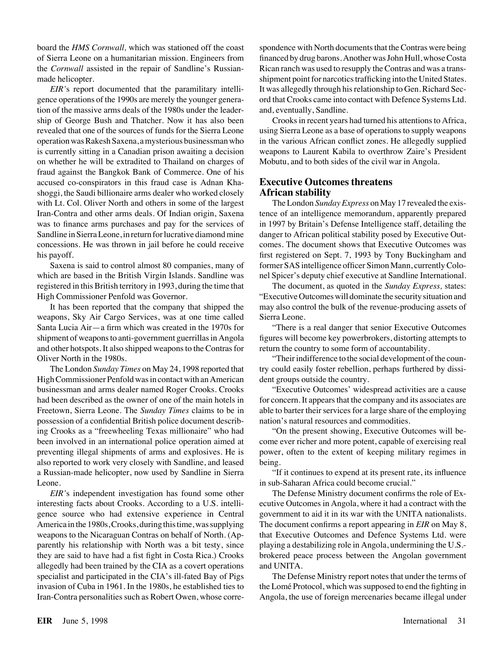board the *HMS Cornwall,* which was stationed off the coast of Sierra Leone on a humanitarian mission. Engineers from the *Cornwall* assisted in the repair of Sandline's Russianmade helicopter.

*EIR'*s report documented that the paramilitary intelligence operations of the 1990s are merely the younger generation of the massive arms deals of the 1980s under the leadership of George Bush and Thatcher. Now it has also been revealed that one of the sources of funds for the Sierra Leone operation was Rakesh Saxena, a mysterious businessman who is currently sitting in a Canadian prison awaiting a decision on whether he will be extradited to Thailand on charges of fraud against the Bangkok Bank of Commerce. One of his accused co-conspirators in this fraud case is Adnan Khashoggi, the Saudi billionaire arms dealer who worked closely with Lt. Col. Oliver North and others in some of the largest Iran-Contra and other arms deals. Of Indian origin, Saxena was to finance arms purchases and pay for the services of Sandline in Sierra Leone, in return for lucrative diamond mine concessions. He was thrown in jail before he could receive his payoff.

Saxena is said to control almost 80 companies, many of which are based in the British Virgin Islands. Sandline was registered in this British territory in 1993, during the time that High Commissioner Penfold was Governor.

It has been reported that the company that shipped the weapons, Sky Air Cargo Services, was at one time called Santa Lucia Air—a firm which was created in the 1970s for shipment of weapons to anti-government guerrillas in Angola and other hotspots. It also shipped weapons to the Contras for Oliver North in the 1980s.

The London *Sunday Times* on May 24, 1998 reported that High Commissioner Penfold was in contact with an American businessman and arms dealer named Roger Crooks. Crooks had been described as the owner of one of the main hotels in Freetown, Sierra Leone. The *Sunday Times* claims to be in possession of a confidential British police document describing Crooks as a "freewheeling Texas millionaire" who had been involved in an international police operation aimed at preventing illegal shipments of arms and explosives. He is also reported to work very closely with Sandline, and leased a Russian-made helicopter, now used by Sandline in Sierra Leone.

*EIR'*s independent investigation has found some other interesting facts about Crooks. According to a U.S. intelligence source who had extensive experience in Central America in the 1980s, Crooks, during this time, was supplying weapons to the Nicaraguan Contras on behalf of North. (Apparently his relationship with North was a bit testy, since they are said to have had a fist fight in Costa Rica.) Crooks allegedly had been trained by the CIA as a covert operations specialist and participated in the CIA's ill-fated Bay of Pigs invasion of Cuba in 1961. In the 1980s, he established ties to Iran-Contra personalities such as Robert Owen, whose correspondence with North documents that the Contras were being financed by drug barons. Another was John Hull, whose Costa Rican ranch was used to resupply the Contras and was a transshipment point for narcotics trafficking into the United States. It was allegedly through his relationship to Gen. Richard Secord that Crooks came into contact with Defence Systems Ltd. and, eventually, Sandline.

Crooks in recent years had turned his attentions to Africa, using Sierra Leone as a base of operations to supply weapons in the various African conflict zones. He allegedly supplied weapons to Laurent Kabila to overthrow Zaire's President Mobutu, and to both sides of the civil war in Angola.

#### **Executive Outcomes threatens African stability**

The London *Sunday Express* on May 17 revealed the existence of an intelligence memorandum, apparently prepared in 1997 by Britain's Defense Intelligence staff, detailing the danger to African political stability posed by Executive Outcomes. The document shows that Executive Outcomes was first registered on Sept. 7, 1993 by Tony Buckingham and former SAS intelligence officer Simon Mann, currently Colonel Spicer's deputy chief executive at Sandline International.

The document, as quoted in the *Sunday Express,* states: "Executive Outcomes will dominate the security situation and may also control the bulk of the revenue-producing assets of Sierra Leone.

"There is a real danger that senior Executive Outcomes figures will become key powerbrokers, distorting attempts to return the country to some form of accountability.

"Their indifference to the social development of the country could easily foster rebellion, perhaps furthered by dissident groups outside the country.

"Executive Outcomes' widespread activities are a cause for concern. It appears that the company and its associates are able to barter their services for a large share of the employing nation's natural resources and commodities.

"On the present showing, Executive Outcomes will become ever richer and more potent, capable of exercising real power, often to the extent of keeping military regimes in being.

"If it continues to expend at its present rate, its influence in sub-Saharan Africa could become crucial."

The Defense Ministry document confirms the role of Executive Outcomes in Angola, where it had a contract with the government to aid it in its war with the UNITA nationalists. The document confirms a report appearing in *EIR* on May 8, that Executive Outcomes and Defence Systems Ltd. were playing a destabilizing role in Angola, undermining the U.S. brokered peace process between the Angolan government and UNITA.

The Defense Ministry report notes that under the terms of the Lomé Protocol, which was supposed to end the fighting in Angola, the use of foreign mercenaries became illegal under